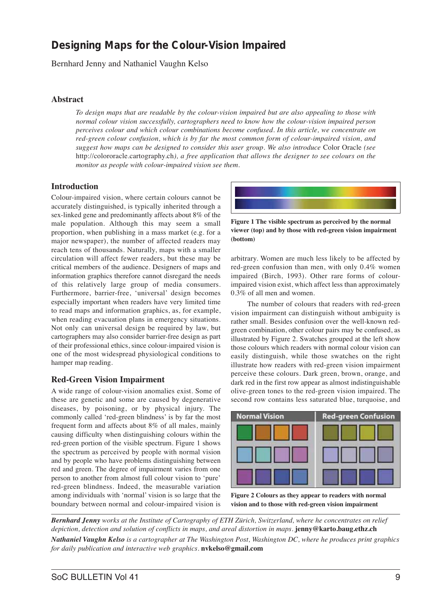# **Designing Maps for the Colour-Vision Impaired**

Bernhard Jenny and Nathaniel Vaughn Kelso

# **Abstract**

*To design maps that are readable by the colour-vision impaired but are also appealing to those with normal colour vision successfully, cartographers need to know how the colour-vision impaired person perceives colour and which colour combinations become confused. In this article, we concentrate on red-green colour confusion, which is by far the most common form of colour-impaired vision, and suggest how maps can be designed to consider this user group. We also introduce* Color Oracle *(see* http://colororacle.cartography.ch*), a free application that allows the designer to see colours on the monitor as people with colour-impaired vision see them.*

# **Introduction**

Colour-impaired vision, where certain colours cannot be accurately distinguished, is typically inherited through a sex-linked gene and predominantly affects about 8% of the male population. Although this may seem a small proportion, when publishing in a mass market (e.g. for a major newspaper), the number of affected readers may reach tens of thousands. Naturally, maps with a smaller circulation will affect fewer readers, but these may be critical members of the audience. Designers of maps and information graphics therefore cannot disregard the needs of this relatively large group of media consumers. Furthermore, barrier-free, 'universal' design becomes especially important when readers have very limited time to read maps and information graphics, as, for example, when reading evacuation plans in emergency situations. Not only can universal design be required by law, but cartographers may also consider barrier-free design as part of their professional ethics, since colour-impaired vision is one of the most widespread physiological conditions to hamper map reading.

## **Red-Green Vision Impairment**

A wide range of colour-vision anomalies exist. Some of these are genetic and some are caused by degenerative diseases, by poisoning, or by physical injury. The commonly called 'red-green blindness' is by far the most frequent form and affects about 8% of all males, mainly causing difficulty when distinguishing colours within the red-green portion of the visible spectrum. Figure 1 shows the spectrum as perceived by people with normal vision and by people who have problems distinguishing between red and green. The degree of impairment varies from one person to another from almost full colour vision to 'pure' red-green blindness. Indeed, the measurable variation among individuals with 'normal' vision is so large that the boundary between normal and colour-impaired vision is



**Figure 1 The visible spectrum as perceived by the normal viewer (top) and by those with red-green vision impairment (bottom)** 

arbitrary. Women are much less likely to be affected by red-green confusion than men, with only 0.4% women impaired (Birch, 1993). Other rare forms of colourimpaired vision exist, which affect less than approximately 0.3% of all men and women.

The number of colours that readers with red-green vision impairment can distinguish without ambiguity is rather small. Besides confusion over the well-known redgreen combination, other colour pairs may be confused, as illustrated by Figure 2. Swatches grouped at the left show those colours which readers with normal colour vision can easily distinguish, while those swatches on the right illustrate how readers with red-green vision impairment perceive these colours. Dark green, brown, orange, and dark red in the first row appear as almost indistinguishable olive-green tones to the red-green vision impaired. The second row contains less saturated blue, turquoise, and



**Figure 2 Colours as they appear to readers with normal vision and to those with red-green vision impairment** 

*Bernhard Jenny works at the Institute of Cartography of ETH Zürich, Switzerland, where he concentrates on relief depiction, detection and solution of conflicts in maps, and areal distortion in maps.* **jenny@karto.baug.ethz.ch**

*Nathaniel Vaughn Kelso is a cartographer at The Washington Post, Washington DC, where he produces print graphics for daily publication and interactive web graphics.* **nvkelso@gmail.com**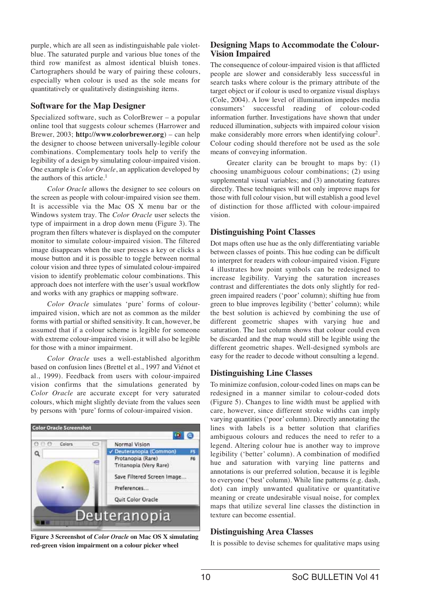purple, which are all seen as indistinguishable pale violetblue. The saturated purple and various blue tones of the third row manifest as almost identical bluish tones. Cartographers should be wary of pairing these colours, especially when colour is used as the sole means for quantitatively or qualitatively distinguishing items.

# **Software for the Map Designer**

Specialized software, such as ColorBrewer – a popular online tool that suggests colour schemes (Harrower and Brewer, 2003; **http://www.colorbrewer.org**) – can help the designer to choose between universally-legible colour combinations. Complementary tools help to verify the legibility of a design by simulating colour-impaired vision. One example is *Color Oracle*, an application developed by the authors of this article.<sup>1</sup>

*Color Oracle* allows the designer to see colours on the screen as people with colour-impaired vision see them. It is accessible via the Mac OS X menu bar or the Windows system tray. The *Color Oracle* user selects the type of impairment in a drop down menu (Figure 3). The program then filters whatever is displayed on the computer monitor to simulate colour-impaired vision. The filtered image disappears when the user presses a key or clicks a mouse button and it is possible to toggle between normal colour vision and three types of simulated colour-impaired vision to identify problematic colour combinations. This approach does not interfere with the user's usual workflow and works with any graphics or mapping software.

*Color Oracle* simulates 'pure' forms of colourimpaired vision, which are not as common as the milder forms with partial or shifted sensitivity. It can, however, be assumed that if a colour scheme is legible for someone with extreme colour-impaired vision, it will also be legible for those with a minor impairment.

*Color Oracle* uses a well-established algorithm based on confusion lines (Brettel et al., 1997 and Viénot et al., 1999). Feedback from users with colour-impaired vision confirms that the simulations generated by *Color Oracle* are accurate except for very saturated colours, which might slightly deviate from the values seen by persons with 'pure' forms of colour-impaired vision.



**Figure 3 Screenshot of** *Color Oracle* **on Mac OS X simulating red-green vision impairment on a colour picker wheel** 

# **Designing Maps to Accommodate the Colour-Vision Impaired**

The consequence of colour-impaired vision is that afflicted people are slower and considerably less successful in search tasks where colour is the primary attribute of the target object or if colour is used to organize visual displays (Cole, 2004). A low level of illumination impedes media consumers' successful reading of colour-coded information further. Investigations have shown that under reduced illumination, subjects with impaired colour vision make considerably more errors when identifying colour<sup>2</sup>. Colour coding should therefore not be used as the sole means of conveying information.

Greater clarity can be brought to maps by: (1) choosing unambiguous colour combinations; (2) using supplemental visual variables; and (3) annotating features directly. These techniques will not only improve maps for those with full colour vision, but will establish a good level of distinction for those afflicted with colour-impaired vision.

## **Distinguishing Point Classes**

Dot maps often use hue as the only differentiating variable between classes of points. This hue coding can be difficult to interpret for readers with colour-impaired vision. Figure 4 illustrates how point symbols can be redesigned to increase legibility. Varying the saturation increases contrast and differentiates the dots only slightly for redgreen impaired readers ('poor' column); shifting hue from green to blue improves legibility ('better' column); while the best solution is achieved by combining the use of different geometric shapes with varying hue and saturation. The last column shows that colour could even be discarded and the map would still be legible using the different geometric shapes. Well-designed symbols are easy for the reader to decode without consulting a legend.

## **Distinguishing Line Classes**

To minimize confusion, colour-coded lines on maps can be redesigned in a manner similar to colour-coded dots (Figure 5). Changes to line width must be applied with care, however, since different stroke widths can imply varying quantities ('poor' column). Directly annotating the lines with labels is a better solution that clarifies ambiguous colours and reduces the need to refer to a legend. Altering colour hue is another way to improve legibility ('better' column). A combination of modified hue and saturation with varying line patterns and annotations is our preferred solution, because it is legible to everyone ('best' column). While line patterns (e.g. dash, dot) can imply unwanted qualitative or quantitative meaning or create undesirable visual noise, for complex maps that utilize several line classes the distinction in texture can become essential.

## **Distinguishing Area Classes**

It is possible to devise schemes for qualitative maps using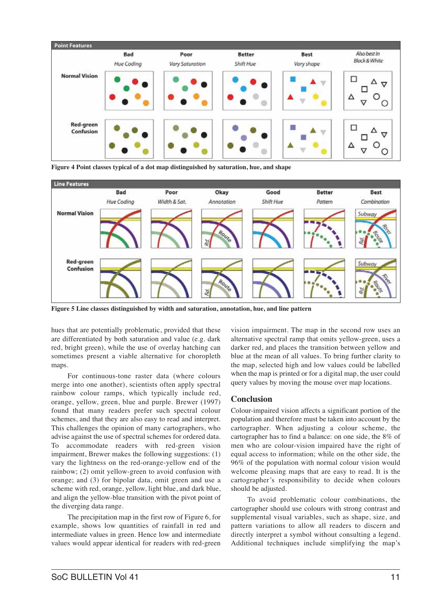

**Figure 4 Point classes typical of a dot map distinguished by saturation, hue, and shape** 



**Figure 5 Line classes distinguished by width and saturation, annotation, hue, and line pattern** 

hues that are potentially problematic, provided that these are differentiated by both saturation and value (e.g. dark red, bright green), while the use of overlay hatching can sometimes present a viable alternative for choropleth maps.

For continuous-tone raster data (where colours merge into one another), scientists often apply spectral rainbow colour ramps, which typically include red, orange, yellow, green, blue and purple. Brewer (1997) found that many readers prefer such spectral colour schemes, and that they are also easy to read and interpret. This challenges the opinion of many cartographers, who advise against the use of spectral schemes for ordered data. To accommodate readers with red-green vision impairment, Brewer makes the following suggestions: (1) vary the lightness on the red-orange-yellow end of the rainbow; (2) omit yellow-green to avoid confusion with orange; and (3) for bipolar data, omit green and use a scheme with red, orange, yellow, light blue, and dark blue, and align the yellow-blue transition with the pivot point of the diverging data range.

The precipitation map in the first row of Figure 6, for example, shows low quantities of rainfall in red and intermediate values in green. Hence low and intermediate values would appear identical for readers with red-green vision impairment. The map in the second row uses an alternative spectral ramp that omits yellow-green, uses a darker red, and places the transition between yellow and blue at the mean of all values. To bring further clarity to the map, selected high and low values could be labelled when the map is printed or for a digital map, the user could query values by moving the mouse over map locations.

#### **Conclusion**

Colour-impaired vision affects a significant portion of the population and therefore must be taken into account by the cartographer. When adjusting a colour scheme, the cartographer has to find a balance: on one side, the 8% of men who are colour-vision impaired have the right of equal access to information; while on the other side, the 96% of the population with normal colour vision would welcome pleasing maps that are easy to read. It is the cartographer's responsibility to decide when colours should be adjusted.

To avoid problematic colour combinations, the cartographer should use colours with strong contrast and supplemental visual variables, such as shape, size, and pattern variations to allow all readers to discern and directly interpret a symbol without consulting a legend. Additional techniques include simplifying the map's